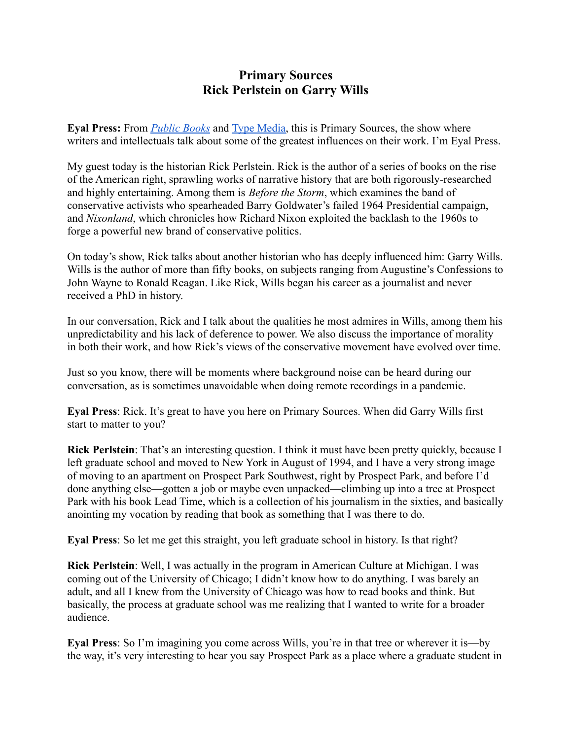## **Primary Sources Rick Perlstein on Garry Wills**

**Eyal Press:** From *[Public Books](https://www.publicbooks.org/)* and [Type Media,](https://typemediacenter.org/) this is Primary Sources, the show where writers and intellectuals talk about some of the greatest influences on their work. I'm Eyal Press.

My guest today is the historian Rick Perlstein. Rick is the author of a series of books on the rise of the American right, sprawling works of narrative history that are both rigorously-researched and highly entertaining. Among them is *Before the Storm*, which examines the band of conservative activists who spearheaded Barry Goldwater's failed 1964 Presidential campaign, and *Nixonland*, which chronicles how Richard Nixon exploited the backlash to the 1960s to forge a powerful new brand of conservative politics.

On today's show, Rick talks about another historian who has deeply influenced him: Garry Wills. Wills is the author of more than fifty books, on subjects ranging from Augustine's Confessions to John Wayne to Ronald Reagan. Like Rick, Wills began his career as a journalist and never received a PhD in history.

In our conversation, Rick and I talk about the qualities he most admires in Wills, among them his unpredictability and his lack of deference to power. We also discuss the importance of morality in both their work, and how Rick's views of the conservative movement have evolved over time.

Just so you know, there will be moments where background noise can be heard during our conversation, as is sometimes unavoidable when doing remote recordings in a pandemic.

**Eyal Press**: Rick. It's great to have you here on Primary Sources. When did Garry Wills first start to matter to you?

**Rick Perlstein**: That's an interesting question. I think it must have been pretty quickly, because I left graduate school and moved to New York in August of 1994, and I have a very strong image of moving to an apartment on Prospect Park Southwest, right by Prospect Park, and before I'd done anything else—gotten a job or maybe even unpacked—climbing up into a tree at Prospect Park with his book Lead Time, which is a collection of his journalism in the sixties, and basically anointing my vocation by reading that book as something that I was there to do.

**Eyal Press**: So let me get this straight, you left graduate school in history. Is that right?

**Rick Perlstein**: Well, I was actually in the program in American Culture at Michigan. I was coming out of the University of Chicago; I didn't know how to do anything. I was barely an adult, and all I knew from the University of Chicago was how to read books and think. But basically, the process at graduate school was me realizing that I wanted to write for a broader audience.

**Eyal Press**: So I'm imagining you come across Wills, you're in that tree or wherever it is—by the way, it's very interesting to hear you say Prospect Park as a place where a graduate student in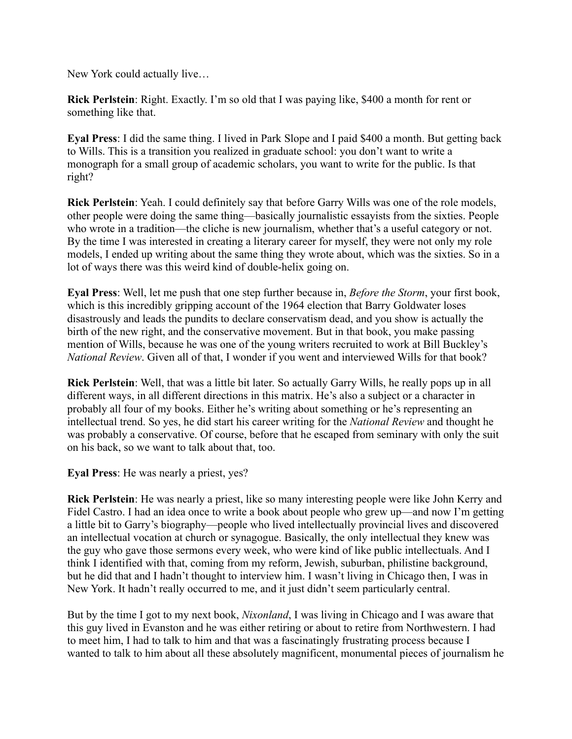New York could actually live…

**Rick Perlstein**: Right. Exactly. I'm so old that I was paying like, \$400 a month for rent or something like that.

**Eyal Press**: I did the same thing. I lived in Park Slope and I paid \$400 a month. But getting back to Wills. This is a transition you realized in graduate school: you don't want to write a monograph for a small group of academic scholars, you want to write for the public. Is that right?

**Rick Perlstein**: Yeah. I could definitely say that before Garry Wills was one of the role models, other people were doing the same thing—basically journalistic essayists from the sixties. People who wrote in a tradition—the cliche is new journalism, whether that's a useful category or not. By the time I was interested in creating a literary career for myself, they were not only my role models, I ended up writing about the same thing they wrote about, which was the sixties. So in a lot of ways there was this weird kind of double-helix going on.

**Eyal Press**: Well, let me push that one step further because in, *Before the Storm*, your first book, which is this incredibly gripping account of the 1964 election that Barry Goldwater loses disastrously and leads the pundits to declare conservatism dead, and you show is actually the birth of the new right, and the conservative movement. But in that book, you make passing mention of Wills, because he was one of the young writers recruited to work at Bill Buckley's *National Review*. Given all of that, I wonder if you went and interviewed Wills for that book?

**Rick Perlstein**: Well, that was a little bit later. So actually Garry Wills, he really pops up in all different ways, in all different directions in this matrix. He's also a subject or a character in probably all four of my books. Either he's writing about something or he's representing an intellectual trend. So yes, he did start his career writing for the *National Review* and thought he was probably a conservative. Of course, before that he escaped from seminary with only the suit on his back, so we want to talk about that, too.

**Eyal Press**: He was nearly a priest, yes?

**Rick Perlstein**: He was nearly a priest, like so many interesting people were like John Kerry and Fidel Castro. I had an idea once to write a book about people who grew up—and now I'm getting a little bit to Garry's biography—people who lived intellectually provincial lives and discovered an intellectual vocation at church or synagogue. Basically, the only intellectual they knew was the guy who gave those sermons every week, who were kind of like public intellectuals. And I think I identified with that, coming from my reform, Jewish, suburban, philistine background, but he did that and I hadn't thought to interview him. I wasn't living in Chicago then, I was in New York. It hadn't really occurred to me, and it just didn't seem particularly central.

But by the time I got to my next book, *Nixonland*, I was living in Chicago and I was aware that this guy lived in Evanston and he was either retiring or about to retire from Northwestern. I had to meet him, I had to talk to him and that was a fascinatingly frustrating process because I wanted to talk to him about all these absolutely magnificent, monumental pieces of journalism he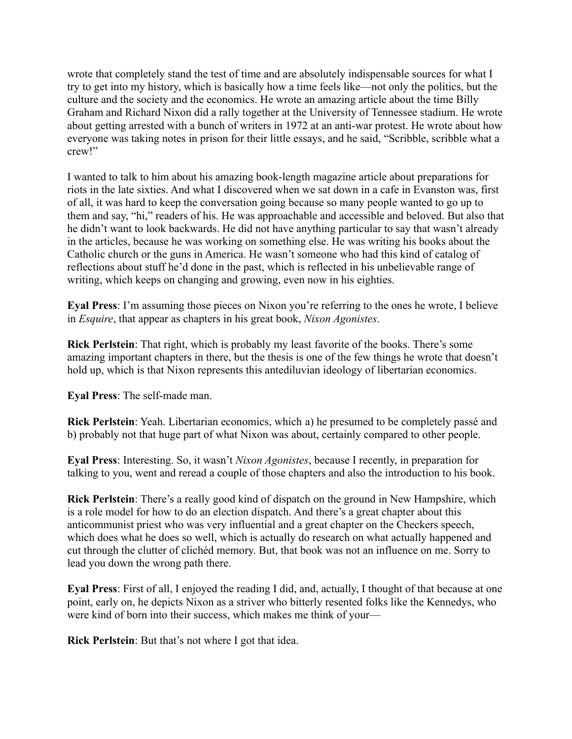wrote that completely stand the test of time and are absolutely indispensable sources for what I try to get into my history, which is basically how a time feels like—not only the politics, but the culture and the society and the economics. He wrote an amazing article about the time Billy Graham and Richard Nixon did a rally together at the University of Tennessee stadium. He wrote about getting arrested with a bunch of writers in 1972 at an anti-war protest. He wrote about how everyone was taking notes in prison for their little essays, and he said, "Scribble, scribble what a crew!"

I wanted to talk to him about his amazing book-length magazine article about preparations for riots in the late sixties. And what I discovered when we sat down in a cafe in Evanston was, first of all, it was hard to keep the conversation going because so many people wanted to go up to them and say, "hi," readers of his. He was approachable and accessible and beloved. But also that he didn't want to look backwards. He did not have anything particular to say that wasn't already in the articles, because he was working on something else. He was writing his books about the Catholic church or the guns in America. He wasn't someone who had this kind of catalog of reflections about stuff he'd done in the past, which is reflected in his unbelievable range of writing, which keeps on changing and growing, even now in his eighties.

**Eyal Press**: I'm assuming those pieces on Nixon you're referring to the ones he wrote, I believe in *Esquire*, that appear as chapters in his great book, *Nixon Agonistes*.

**Rick Perlstein**: That right, which is probably my least favorite of the books. There's some amazing important chapters in there, but the thesis is one of the few things he wrote that doesn't hold up, which is that Nixon represents this antediluvian ideology of libertarian economics.

**Eyal Press**: The self-made man.

**Rick Perlstein**: Yeah. Libertarian economics, which a) he presumed to be completely passé and b) probably not that huge part of what Nixon was about, certainly compared to other people.

**Eyal Press**: Interesting. So, it wasn't *Nixon Agonistes*, because I recently, in preparation for talking to you, went and reread a couple of those chapters and also the introduction to his book.

**Rick Perlstein**: There's a really good kind of dispatch on the ground in New Hampshire, which is a role model for how to do an election dispatch. And there's a great chapter about this anticommunist priest who was very influential and a great chapter on the Checkers speech, which does what he does so well, which is actually do research on what actually happened and cut through the clutter of clichéd memory. But, that book was not an influence on me. Sorry to lead you down the wrong path there.

**Eyal Press**: First of all, I enjoyed the reading I did, and, actually, I thought of that because at one point, early on, he depicts Nixon as a striver who bitterly resented folks like the Kennedys, who were kind of born into their success, which makes me think of your—

**Rick Perlstein**: But that's not where I got that idea.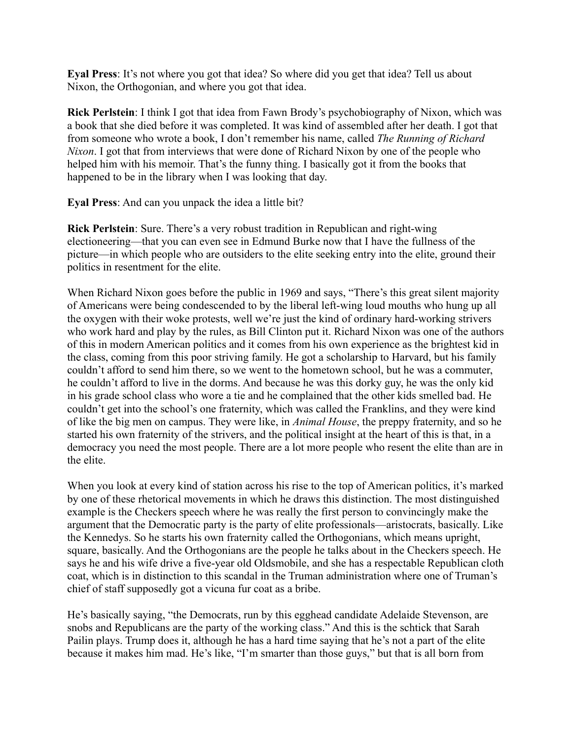**Eyal Press**: It's not where you got that idea? So where did you get that idea? Tell us about Nixon, the Orthogonian, and where you got that idea.

**Rick Perlstein**: I think I got that idea from Fawn Brody's psychobiography of Nixon, which was a book that she died before it was completed. It was kind of assembled after her death. I got that from someone who wrote a book, I don't remember his name, called *The Running of Richard Nixon*. I got that from interviews that were done of Richard Nixon by one of the people who helped him with his memoir. That's the funny thing. I basically got it from the books that happened to be in the library when I was looking that day.

**Eyal Press**: And can you unpack the idea a little bit?

**Rick Perlstein**: Sure. There's a very robust tradition in Republican and right-wing electioneering—that you can even see in Edmund Burke now that I have the fullness of the picture—in which people who are outsiders to the elite seeking entry into the elite, ground their politics in resentment for the elite.

When Richard Nixon goes before the public in 1969 and says, "There's this great silent majority of Americans were being condescended to by the liberal left-wing loud mouths who hung up all the oxygen with their woke protests, well we're just the kind of ordinary hard-working strivers who work hard and play by the rules, as Bill Clinton put it. Richard Nixon was one of the authors of this in modern American politics and it comes from his own experience as the brightest kid in the class, coming from this poor striving family. He got a scholarship to Harvard, but his family couldn't afford to send him there, so we went to the hometown school, but he was a commuter, he couldn't afford to live in the dorms. And because he was this dorky guy, he was the only kid in his grade school class who wore a tie and he complained that the other kids smelled bad. He couldn't get into the school's one fraternity, which was called the Franklins, and they were kind of like the big men on campus. They were like, in *Animal House*, the preppy fraternity, and so he started his own fraternity of the strivers, and the political insight at the heart of this is that, in a democracy you need the most people. There are a lot more people who resent the elite than are in the elite.

When you look at every kind of station across his rise to the top of American politics, it's marked by one of these rhetorical movements in which he draws this distinction. The most distinguished example is the Checkers speech where he was really the first person to convincingly make the argument that the Democratic party is the party of elite professionals—aristocrats, basically. Like the Kennedys. So he starts his own fraternity called the Orthogonians, which means upright, square, basically. And the Orthogonians are the people he talks about in the Checkers speech. He says he and his wife drive a five-year old Oldsmobile, and she has a respectable Republican cloth coat, which is in distinction to this scandal in the Truman administration where one of Truman's chief of staff supposedly got a vicuna fur coat as a bribe.

He's basically saying, "the Democrats, run by this egghead candidate Adelaide Stevenson, are snobs and Republicans are the party of the working class." And this is the schtick that Sarah Pailin plays. Trump does it, although he has a hard time saying that he's not a part of the elite because it makes him mad. He's like, "I'm smarter than those guys," but that is all born from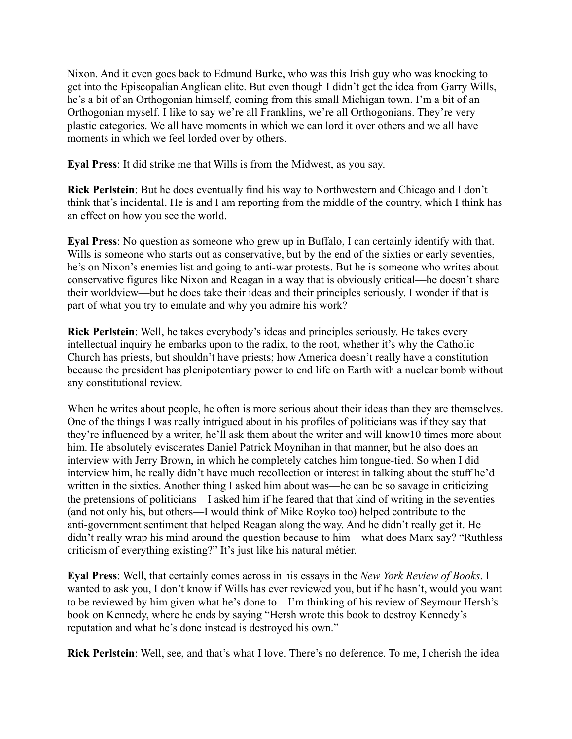Nixon. And it even goes back to Edmund Burke, who was this Irish guy who was knocking to get into the Episcopalian Anglican elite. But even though I didn't get the idea from Garry Wills, he's a bit of an Orthogonian himself, coming from this small Michigan town. I'm a bit of an Orthogonian myself. I like to say we're all Franklins, we're all Orthogonians. They're very plastic categories. We all have moments in which we can lord it over others and we all have moments in which we feel lorded over by others.

**Eyal Press**: It did strike me that Wills is from the Midwest, as you say.

**Rick Perlstein**: But he does eventually find his way to Northwestern and Chicago and I don't think that's incidental. He is and I am reporting from the middle of the country, which I think has an effect on how you see the world.

**Eyal Press**: No question as someone who grew up in Buffalo, I can certainly identify with that. Wills is someone who starts out as conservative, but by the end of the sixties or early seventies, he's on Nixon's enemies list and going to anti-war protests. But he is someone who writes about conservative figures like Nixon and Reagan in a way that is obviously critical—he doesn't share their worldview—but he does take their ideas and their principles seriously. I wonder if that is part of what you try to emulate and why you admire his work?

**Rick Perlstein**: Well, he takes everybody's ideas and principles seriously. He takes every intellectual inquiry he embarks upon to the radix, to the root, whether it's why the Catholic Church has priests, but shouldn't have priests; how America doesn't really have a constitution because the president has plenipotentiary power to end life on Earth with a nuclear bomb without any constitutional review.

When he writes about people, he often is more serious about their ideas than they are themselves. One of the things I was really intrigued about in his profiles of politicians was if they say that they're influenced by a writer, he'll ask them about the writer and will know10 times more about him. He absolutely eviscerates Daniel Patrick Moynihan in that manner, but he also does an interview with Jerry Brown, in which he completely catches him tongue-tied. So when I did interview him, he really didn't have much recollection or interest in talking about the stuff he'd written in the sixties. Another thing I asked him about was—he can be so savage in criticizing the pretensions of politicians—I asked him if he feared that that kind of writing in the seventies (and not only his, but others—I would think of Mike Royko too) helped contribute to the anti-government sentiment that helped Reagan along the way. And he didn't really get it. He didn't really wrap his mind around the question because to him—what does Marx say? "Ruthless criticism of everything existing?" It's just like his natural métier.

**Eyal Press**: Well, that certainly comes across in his essays in the *New York Review of Books*. I wanted to ask you, I don't know if Wills has ever reviewed you, but if he hasn't, would you want to be reviewed by him given what he's done to—I'm thinking of his review of Seymour Hersh's book on Kennedy, where he ends by saying "Hersh wrote this book to destroy Kennedy's reputation and what he's done instead is destroyed his own."

**Rick Perlstein**: Well, see, and that's what I love. There's no deference. To me, I cherish the idea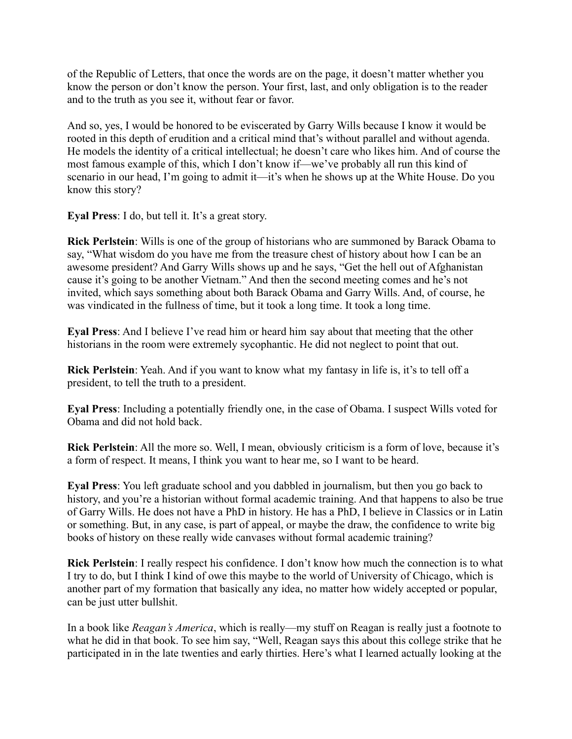of the Republic of Letters, that once the words are on the page, it doesn't matter whether you know the person or don't know the person. Your first, last, and only obligation is to the reader and to the truth as you see it, without fear or favor.

And so, yes, I would be honored to be eviscerated by Garry Wills because I know it would be rooted in this depth of erudition and a critical mind that's without parallel and without agenda. He models the identity of a critical intellectual; he doesn't care who likes him. And of course the most famous example of this, which I don't know if—we've probably all run this kind of scenario in our head, I'm going to admit it—it's when he shows up at the White House. Do you know this story?

**Eyal Press**: I do, but tell it. It's a great story.

**Rick Perlstein**: Wills is one of the group of historians who are summoned by Barack Obama to say, "What wisdom do you have me from the treasure chest of history about how I can be an awesome president? And Garry Wills shows up and he says, "Get the hell out of Afghanistan cause it's going to be another Vietnam." And then the second meeting comes and he's not invited, which says something about both Barack Obama and Garry Wills. And, of course, he was vindicated in the fullness of time, but it took a long time. It took a long time.

**Eyal Press**: And I believe I've read him or heard him say about that meeting that the other historians in the room were extremely sycophantic. He did not neglect to point that out.

**Rick Perlstein**: Yeah. And if you want to know what my fantasy in life is, it's to tell off a president, to tell the truth to a president.

**Eyal Press**: Including a potentially friendly one, in the case of Obama. I suspect Wills voted for Obama and did not hold back.

**Rick Perlstein**: All the more so. Well, I mean, obviously criticism is a form of love, because it's a form of respect. It means, I think you want to hear me, so I want to be heard.

**Eyal Press**: You left graduate school and you dabbled in journalism, but then you go back to history, and you're a historian without formal academic training. And that happens to also be true of Garry Wills. He does not have a PhD in history. He has a PhD, I believe in Classics or in Latin or something. But, in any case, is part of appeal, or maybe the draw, the confidence to write big books of history on these really wide canvases without formal academic training?

**Rick Perlstein**: I really respect his confidence. I don't know how much the connection is to what I try to do, but I think I kind of owe this maybe to the world of University of Chicago, which is another part of my formation that basically any idea, no matter how widely accepted or popular, can be just utter bullshit.

In a book like *Reagan's America*, which is really—my stuff on Reagan is really just a footnote to what he did in that book. To see him say, "Well, Reagan says this about this college strike that he participated in in the late twenties and early thirties. Here's what I learned actually looking at the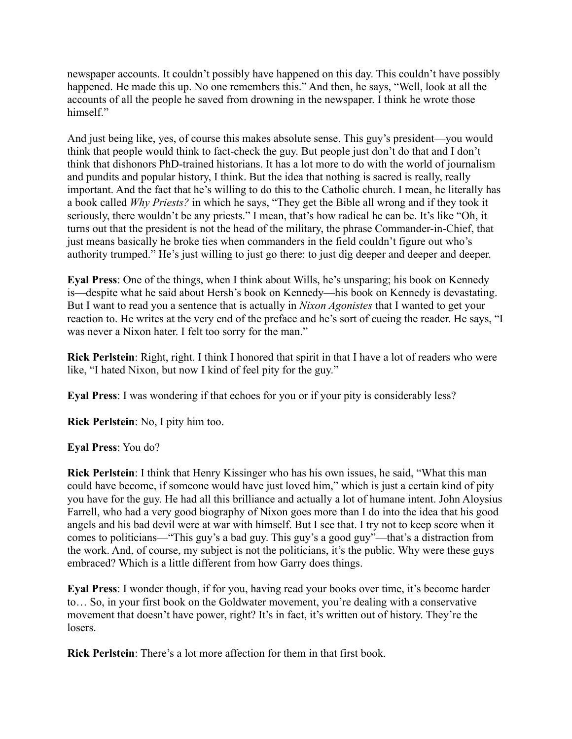newspaper accounts. It couldn't possibly have happened on this day. This couldn't have possibly happened. He made this up. No one remembers this." And then, he says, "Well, look at all the accounts of all the people he saved from drowning in the newspaper. I think he wrote those himself."

And just being like, yes, of course this makes absolute sense. This guy's president—you would think that people would think to fact-check the guy. But people just don't do that and I don't think that dishonors PhD-trained historians. It has a lot more to do with the world of journalism and pundits and popular history, I think. But the idea that nothing is sacred is really, really important. And the fact that he's willing to do this to the Catholic church. I mean, he literally has a book called *Why Priests?* in which he says, "They get the Bible all wrong and if they took it seriously, there wouldn't be any priests." I mean, that's how radical he can be. It's like "Oh, it turns out that the president is not the head of the military, the phrase Commander-in-Chief, that just means basically he broke ties when commanders in the field couldn't figure out who's authority trumped." He's just willing to just go there: to just dig deeper and deeper and deeper.

**Eyal Press**: One of the things, when I think about Wills, he's unsparing; his book on Kennedy is—despite what he said about Hersh's book on Kennedy—his book on Kennedy is devastating. But I want to read you a sentence that is actually in *Nixon Agonistes* that I wanted to get your reaction to. He writes at the very end of the preface and he's sort of cueing the reader. He says, "I was never a Nixon hater. I felt too sorry for the man."

**Rick Perlstein**: Right, right. I think I honored that spirit in that I have a lot of readers who were like, "I hated Nixon, but now I kind of feel pity for the guy."

**Eyal Press**: I was wondering if that echoes for you or if your pity is considerably less?

**Rick Perlstein**: No, I pity him too.

**Eyal Press**: You do?

**Rick Perlstein**: I think that Henry Kissinger who has his own issues, he said, "What this man could have become, if someone would have just loved him," which is just a certain kind of pity you have for the guy. He had all this brilliance and actually a lot of humane intent. John Aloysius Farrell, who had a very good biography of Nixon goes more than I do into the idea that his good angels and his bad devil were at war with himself. But I see that. I try not to keep score when it comes to politicians—"This guy's a bad guy. This guy's a good guy"—that's a distraction from the work. And, of course, my subject is not the politicians, it's the public. Why were these guys embraced? Which is a little different from how Garry does things.

**Eyal Press**: I wonder though, if for you, having read your books over time, it's become harder to… So, in your first book on the Goldwater movement, you're dealing with a conservative movement that doesn't have power, right? It's in fact, it's written out of history. They're the losers.

**Rick Perlstein**: There's a lot more affection for them in that first book.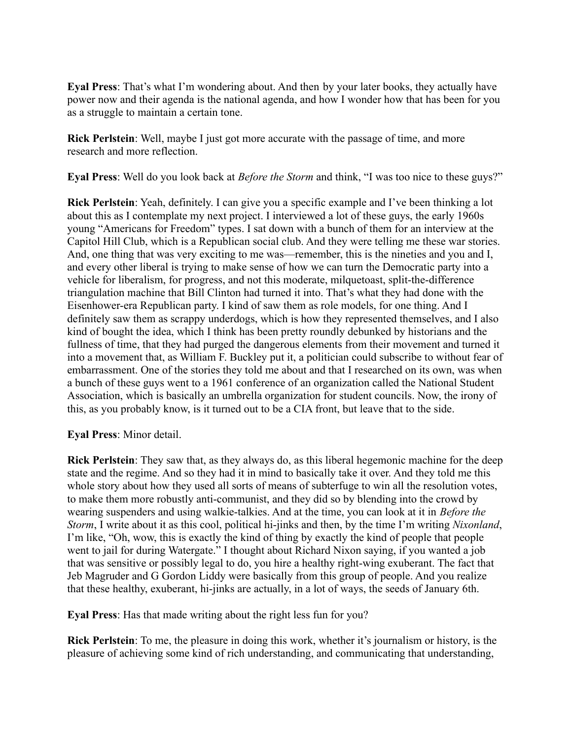**Eyal Press**: That's what I'm wondering about. And then by your later books, they actually have power now and their agenda is the national agenda, and how I wonder how that has been for you as a struggle to maintain a certain tone.

**Rick Perlstein**: Well, maybe I just got more accurate with the passage of time, and more research and more reflection.

**Eyal Press**: Well do you look back at *Before the Storm* and think, "I was too nice to these guys?"

**Rick Perlstein**: Yeah, definitely. I can give you a specific example and I've been thinking a lot about this as I contemplate my next project. I interviewed a lot of these guys, the early 1960s young "Americans for Freedom" types. I sat down with a bunch of them for an interview at the Capitol Hill Club, which is a Republican social club. And they were telling me these war stories. And, one thing that was very exciting to me was—remember, this is the nineties and you and I, and every other liberal is trying to make sense of how we can turn the Democratic party into a vehicle for liberalism, for progress, and not this moderate, milquetoast, split-the-difference triangulation machine that Bill Clinton had turned it into. That's what they had done with the Eisenhower-era Republican party. I kind of saw them as role models, for one thing. And I definitely saw them as scrappy underdogs, which is how they represented themselves, and I also kind of bought the idea, which I think has been pretty roundly debunked by historians and the fullness of time, that they had purged the dangerous elements from their movement and turned it into a movement that, as William F. Buckley put it, a politician could subscribe to without fear of embarrassment. One of the stories they told me about and that I researched on its own, was when a bunch of these guys went to a 1961 conference of an organization called the National Student Association, which is basically an umbrella organization for student councils. Now, the irony of this, as you probably know, is it turned out to be a CIA front, but leave that to the side.

**Eyal Press**: Minor detail.

**Rick Perlstein**: They saw that, as they always do, as this liberal hegemonic machine for the deep state and the regime. And so they had it in mind to basically take it over. And they told me this whole story about how they used all sorts of means of subterfuge to win all the resolution votes, to make them more robustly anti-communist, and they did so by blending into the crowd by wearing suspenders and using walkie-talkies. And at the time, you can look at it in *Before the Storm*, I write about it as this cool, political hi-jinks and then, by the time I'm writing *Nixonland*, I'm like, "Oh, wow, this is exactly the kind of thing by exactly the kind of people that people went to jail for during Watergate." I thought about Richard Nixon saying, if you wanted a job that was sensitive or possibly legal to do, you hire a healthy right-wing exuberant. The fact that Jeb Magruder and G Gordon Liddy were basically from this group of people. And you realize that these healthy, exuberant, hi-jinks are actually, in a lot of ways, the seeds of January 6th.

**Eyal Press**: Has that made writing about the right less fun for you?

**Rick Perlstein**: To me, the pleasure in doing this work, whether it's journalism or history, is the pleasure of achieving some kind of rich understanding, and communicating that understanding,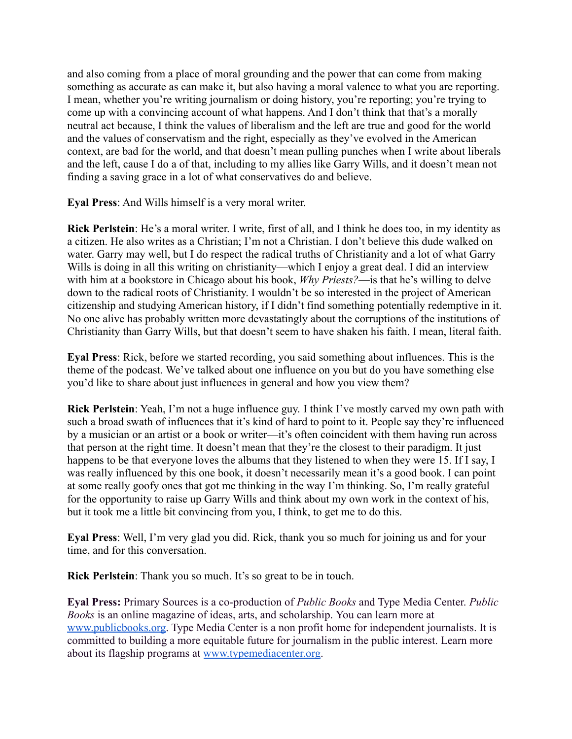and also coming from a place of moral grounding and the power that can come from making something as accurate as can make it, but also having a moral valence to what you are reporting. I mean, whether you're writing journalism or doing history, you're reporting; you're trying to come up with a convincing account of what happens. And I don't think that that's a morally neutral act because, I think the values of liberalism and the left are true and good for the world and the values of conservatism and the right, especially as they've evolved in the American context, are bad for the world, and that doesn't mean pulling punches when I write about liberals and the left, cause I do a of that, including to my allies like Garry Wills, and it doesn't mean not finding a saving grace in a lot of what conservatives do and believe.

**Eyal Press**: And Wills himself is a very moral writer.

**Rick Perlstein**: He's a moral writer. I write, first of all, and I think he does too, in my identity as a citizen. He also writes as a Christian; I'm not a Christian. I don't believe this dude walked on water. Garry may well, but I do respect the radical truths of Christianity and a lot of what Garry Wills is doing in all this writing on christianity—which I enjoy a great deal. I did an interview with him at a bookstore in Chicago about his book, *Why Priests?*—is that he's willing to delve down to the radical roots of Christianity. I wouldn't be so interested in the project of American citizenship and studying American history, if I didn't find something potentially redemptive in it. No one alive has probably written more devastatingly about the corruptions of the institutions of Christianity than Garry Wills, but that doesn't seem to have shaken his faith. I mean, literal faith.

**Eyal Press**: Rick, before we started recording, you said something about influences. This is the theme of the podcast. We've talked about one influence on you but do you have something else you'd like to share about just influences in general and how you view them?

**Rick Perlstein**: Yeah, I'm not a huge influence guy. I think I've mostly carved my own path with such a broad swath of influences that it's kind of hard to point to it. People say they're influenced by a musician or an artist or a book or writer—it's often coincident with them having run across that person at the right time. It doesn't mean that they're the closest to their paradigm. It just happens to be that everyone loves the albums that they listened to when they were 15. If I say, I was really influenced by this one book, it doesn't necessarily mean it's a good book. I can point at some really goofy ones that got me thinking in the way I'm thinking. So, I'm really grateful for the opportunity to raise up Garry Wills and think about my own work in the context of his, but it took me a little bit convincing from you, I think, to get me to do this.

**Eyal Press**: Well, I'm very glad you did. Rick, thank you so much for joining us and for your time, and for this conversation.

**Rick Perlstein**: Thank you so much. It's so great to be in touch.

**Eyal Press:** Primary Sources is a co-production of *Public Books* and Type Media Center. *Public Books* is an online magazine of ideas, arts, and scholarship. You can learn more at [www.publicbooks.org.](http://www.publicbooks.org) Type Media Center is a non profit home for independent journalists. It is committed to building a more equitable future for journalism in the public interest. Learn more about its flagship programs at [www.typemediacenter.org](http://www.typemediacenter.org).